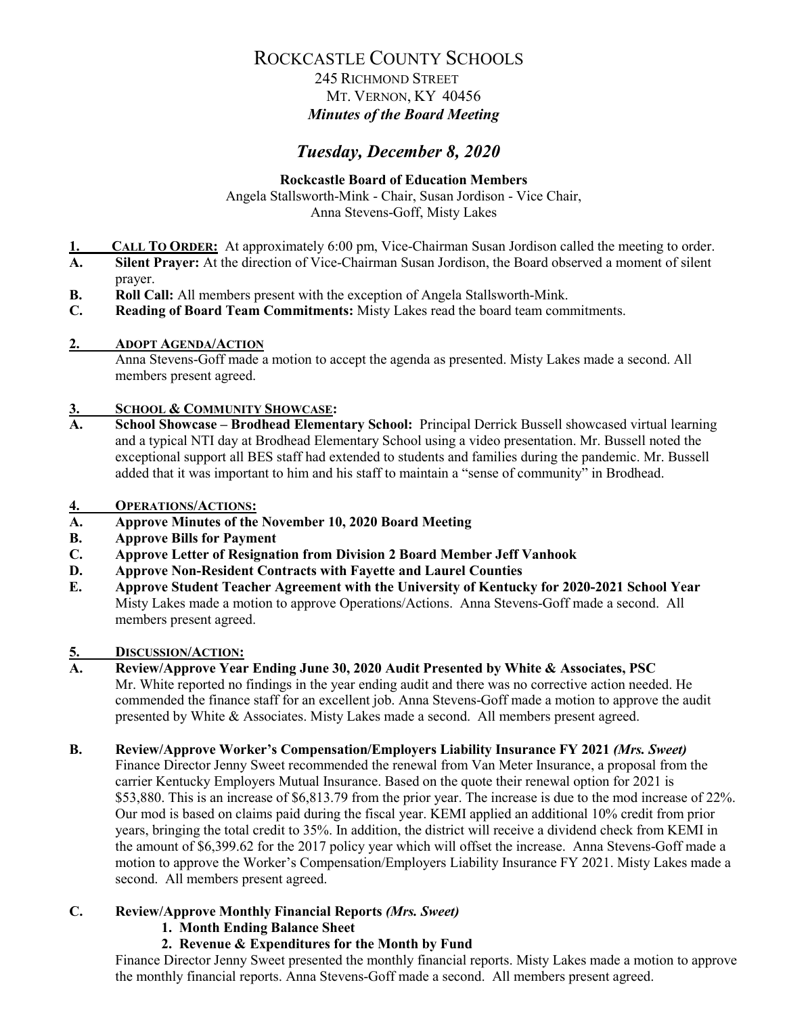### 245 RICHMOND STREET MT. VERNON, KY 40456 *Minutes of the Board Meeting*

# *Tuesday, December 8, 2020*

### **Rockcastle Board of Education Members**

Angela Stallsworth-Mink - Chair, Susan Jordison - Vice Chair, Anna Stevens-Goff, Misty Lakes

- **1. CALL TO ORDER:** At approximately 6:00 pm, Vice-Chairman Susan Jordison called the meeting to order.<br>**A.** Silent Prayer: At the direction of Vice-Chairman Susan Jordison, the Board observed a moment of silent
- **A. Silent Prayer:** At the direction of Vice-Chairman Susan Jordison, the Board observed a moment of silent prayer.
- **B. Roll Call:** All members present with the exception of Angela Stallsworth-Mink.
- **C. Reading of Board Team Commitments:** Misty Lakes read the board team commitments.

#### **2. ADOPT AGENDA/ACTION**

Anna Stevens-Goff made a motion to accept the agenda as presented. Misty Lakes made a second. All members present agreed.

# **3. SCHOOL & COMMUNITY SHOWCASE:**

**A. School Showcase – Brodhead Elementary School:** Principal Derrick Bussell showcased virtual learning and a typical NTI day at Brodhead Elementary School using a video presentation. Mr. Bussell noted the exceptional support all BES staff had extended to students and families during the pandemic. Mr. Bussell added that it was important to him and his staff to maintain a "sense of community" in Brodhead.

#### **4. OPERATIONS/ACTIONS:**

- **A. Approve Minutes of the November 10, 2020 Board Meeting**
- **B. Approve Bills for Payment**
- **C. Approve Letter of Resignation from Division 2 Board Member Jeff Vanhook**
- **D. Approve Non-Resident Contracts with Fayette and Laurel Counties**
- **E. Approve Student Teacher Agreement with the University of Kentucky for 2020-2021 School Year** Misty Lakes made a motion to approve Operations/Actions. Anna Stevens-Goff made a second. All members present agreed.

#### **5. DISCUSSION/ACTION:**

**A. Review/Approve Year Ending June 30, 2020 Audit Presented by White & Associates, PSC**  Mr. White reported no findings in the year ending audit and there was no corrective action needed. He commended the finance staff for an excellent job. Anna Stevens-Goff made a motion to approve the audit presented by White & Associates. Misty Lakes made a second. All members present agreed.

#### **B. Review/Approve Worker's Compensation/Employers Liability Insurance FY 2021** *(Mrs. Sweet)*

Finance Director Jenny Sweet recommended the renewal from Van Meter Insurance, a proposal from the carrier Kentucky Employers Mutual Insurance. Based on the quote their renewal option for 2021 is \$53,880. This is an increase of \$6,813.79 from the prior year. The increase is due to the mod increase of 22%. Our mod is based on claims paid during the fiscal year. KEMI applied an additional 10% credit from prior years, bringing the total credit to 35%. In addition, the district will receive a dividend check from KEMI in the amount of \$6,399.62 for the 2017 policy year which will offset the increase. Anna Stevens-Goff made a motion to approve the Worker's Compensation/Employers Liability Insurance FY 2021. Misty Lakes made a second. All members present agreed.

### **C. Review/Approve Monthly Financial Reports** *(Mrs. Sweet)*

- **1. Month Ending Balance Sheet**
- **2. Revenue & Expenditures for the Month by Fund**

Finance Director Jenny Sweet presented the monthly financial reports. Misty Lakes made a motion to approve the monthly financial reports. Anna Stevens-Goff made a second. All members present agreed.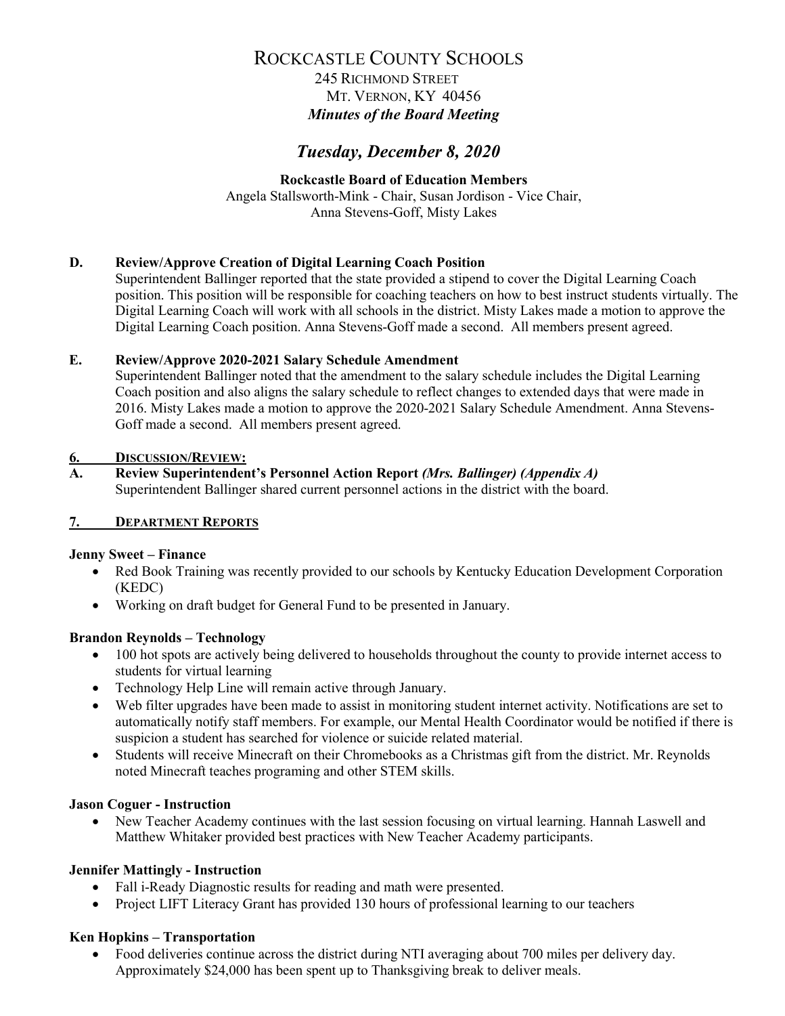### 245 RICHMOND STREET MT. VERNON, KY 40456 *Minutes of the Board Meeting*

# *Tuesday, December 8, 2020*

#### **Rockcastle Board of Education Members** Angela Stallsworth-Mink - Chair, Susan Jordison - Vice Chair, Anna Stevens-Goff, Misty Lakes

#### **D. Review/Approve Creation of Digital Learning Coach Position**

Superintendent Ballinger reported that the state provided a stipend to cover the Digital Learning Coach position. This position will be responsible for coaching teachers on how to best instruct students virtually. The Digital Learning Coach will work with all schools in the district. Misty Lakes made a motion to approve the Digital Learning Coach position. Anna Stevens-Goff made a second. All members present agreed.

#### **E. Review/Approve 2020-2021 Salary Schedule Amendment**

Superintendent Ballinger noted that the amendment to the salary schedule includes the Digital Learning Coach position and also aligns the salary schedule to reflect changes to extended days that were made in 2016. Misty Lakes made a motion to approve the 2020-2021 Salary Schedule Amendment. Anna Stevens-Goff made a second. All members present agreed.

#### **6. DISCUSSION/REVIEW:**

### **A. Review Superintendent's Personnel Action Report** *(Mrs. Ballinger) (Appendix A)*

Superintendent Ballinger shared current personnel actions in the district with the board.

### **7. DEPARTMENT REPORTS**

#### **Jenny Sweet – Finance**

- Red Book Training was recently provided to our schools by Kentucky Education Development Corporation (KEDC)
- Working on draft budget for General Fund to be presented in January.

### **Brandon Reynolds – Technology**

- 100 hot spots are actively being delivered to households throughout the county to provide internet access to students for virtual learning
- Technology Help Line will remain active through January.
- Web filter upgrades have been made to assist in monitoring student internet activity. Notifications are set to automatically notify staff members. For example, our Mental Health Coordinator would be notified if there is suspicion a student has searched for violence or suicide related material.
- Students will receive Minecraft on their Chromebooks as a Christmas gift from the district. Mr. Reynolds noted Minecraft teaches programing and other STEM skills.

#### **Jason Coguer - Instruction**

• New Teacher Academy continues with the last session focusing on virtual learning. Hannah Laswell and Matthew Whitaker provided best practices with New Teacher Academy participants.

#### **Jennifer Mattingly - Instruction**

- Fall i-Ready Diagnostic results for reading and math were presented.
- Project LIFT Literacy Grant has provided 130 hours of professional learning to our teachers

#### **Ken Hopkins – Transportation**

• Food deliveries continue across the district during NTI averaging about 700 miles per delivery day. Approximately \$24,000 has been spent up to Thanksgiving break to deliver meals.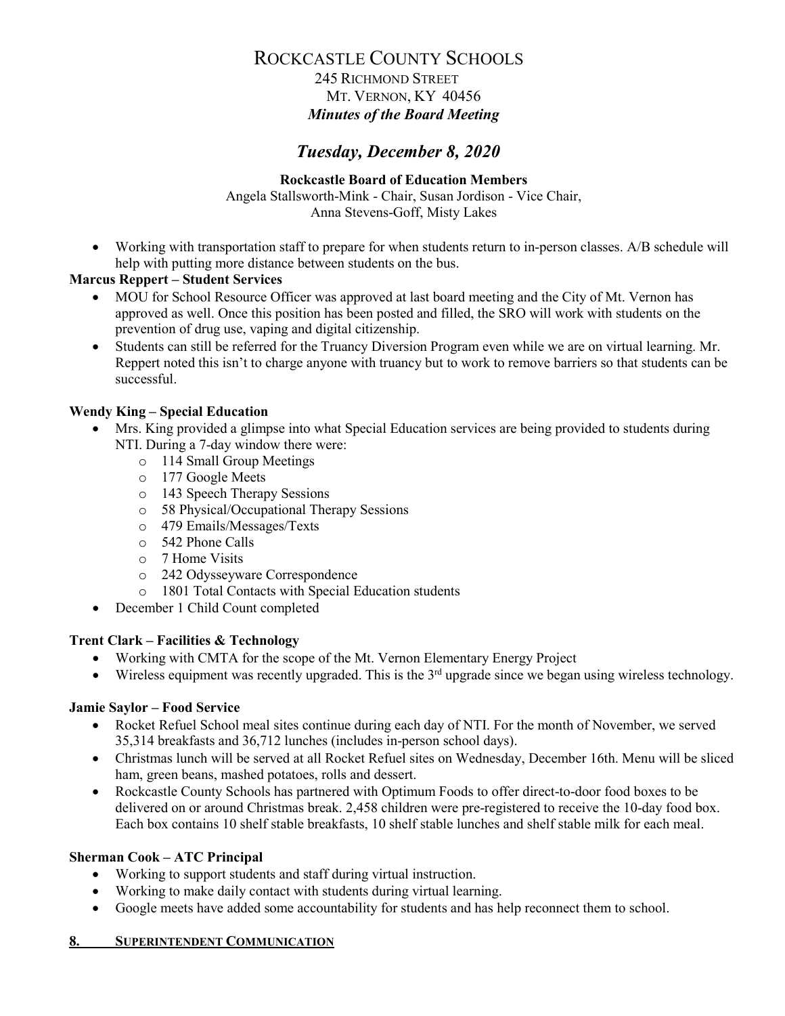### 245 RICHMOND STREET MT. VERNON, KY 40456 *Minutes of the Board Meeting*

# *Tuesday, December 8, 2020*

### **Rockcastle Board of Education Members**

Angela Stallsworth-Mink - Chair, Susan Jordison - Vice Chair, Anna Stevens-Goff, Misty Lakes

• Working with transportation staff to prepare for when students return to in-person classes. A/B schedule will help with putting more distance between students on the bus.

#### **Marcus Reppert – Student Services**

- MOU for School Resource Officer was approved at last board meeting and the City of Mt. Vernon has approved as well. Once this position has been posted and filled, the SRO will work with students on the prevention of drug use, vaping and digital citizenship.
- Students can still be referred for the Truancy Diversion Program even while we are on virtual learning. Mr. Reppert noted this isn't to charge anyone with truancy but to work to remove barriers so that students can be successful.

#### **Wendy King – Special Education**

- Mrs. King provided a glimpse into what Special Education services are being provided to students during NTI. During a 7-day window there were:
	- o 114 Small Group Meetings
	- o 177 Google Meets
	- o 143 Speech Therapy Sessions
	- o 58 Physical/Occupational Therapy Sessions
	- o 479 Emails/Messages/Texts
	- o 542 Phone Calls
	- o 7 Home Visits
	- o 242 Odysseyware Correspondence
	- o 1801 Total Contacts with Special Education students
- December 1 Child Count completed

#### **Trent Clark – Facilities & Technology**

- Working with CMTA for the scope of the Mt. Vernon Elementary Energy Project
- Wireless equipment was recently upgraded. This is the  $3<sup>rd</sup>$  upgrade since we began using wireless technology.

#### **Jamie Saylor – Food Service**

- Rocket Refuel School meal sites continue during each day of NTI. For the month of November, we served 35,314 breakfasts and 36,712 lunches (includes in-person school days).
- Christmas lunch will be served at all Rocket Refuel sites on Wednesday, December 16th. Menu will be sliced ham, green beans, mashed potatoes, rolls and dessert.
- Rockcastle County Schools has partnered with Optimum Foods to offer direct-to-door food boxes to be delivered on or around Christmas break. 2,458 children were pre-registered to receive the 10-day food box. Each box contains 10 shelf stable breakfasts, 10 shelf stable lunches and shelf stable milk for each meal.

#### **Sherman Cook – ATC Principal**

- Working to support students and staff during virtual instruction.
- Working to make daily contact with students during virtual learning.
- Google meets have added some accountability for students and has help reconnect them to school.

#### **8. SUPERINTENDENT COMMUNICATION**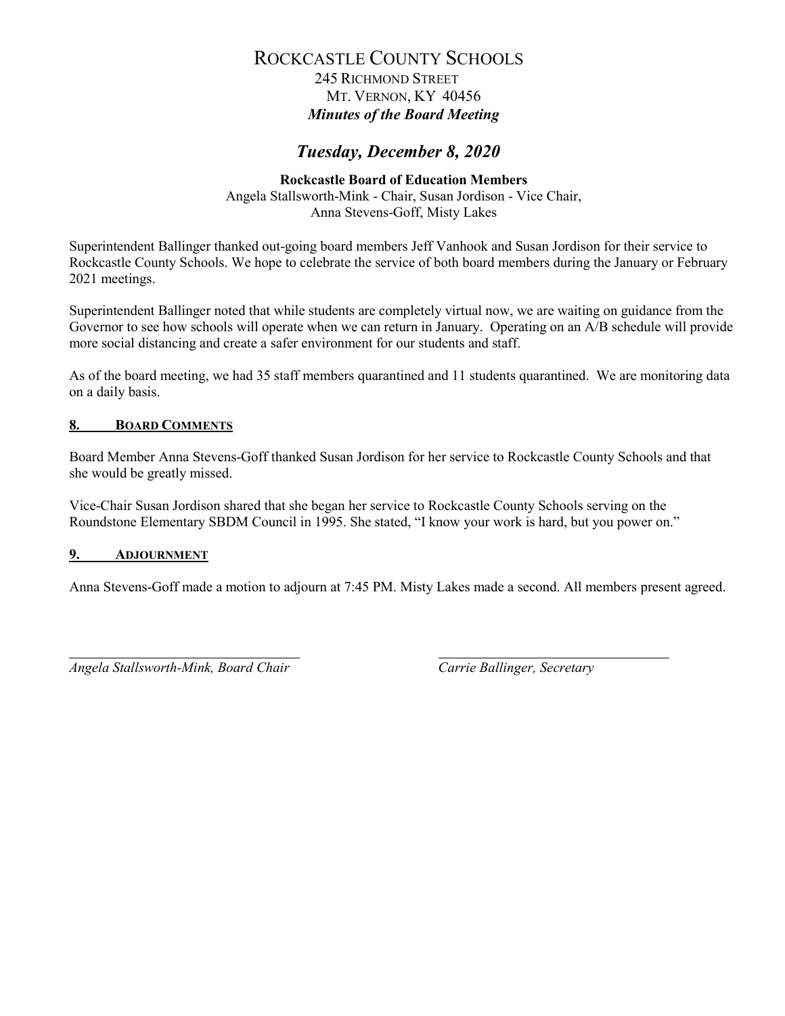245 RICHMOND STREET MT. VERNON, KY 40456 *Minutes of the Board Meeting*

# *Tuesday, December 8, 2020*

#### **Rockcastle Board of Education Members** Angela Stallsworth-Mink - Chair, Susan Jordison - Vice Chair, Anna Stevens-Goff, Misty Lakes

Superintendent Ballinger thanked out-going board members Jeff Vanhook and Susan Jordison for their service to Rockcastle County Schools. We hope to celebrate the service of both board members during the January or February 2021 meetings.

Superintendent Ballinger noted that while students are completely virtual now, we are waiting on guidance from the Governor to see how schools will operate when we can return in January. Operating on an A/B schedule will provide more social distancing and create a safer environment for our students and staff.

As of the board meeting, we had 35 staff members quarantined and 11 students quarantined. We are monitoring data on a daily basis.

### **8. BOARD COMMENTS**

Board Member Anna Stevens-Goff thanked Susan Jordison for her service to Rockcastle County Schools and that she would be greatly missed.

Vice-Chair Susan Jordison shared that she began her service to Rockcastle County Schools serving on the Roundstone Elementary SBDM Council in 1995. She stated, "I know your work is hard, but you power on."

#### **9. ADJOURNMENT**

Anna Stevens-Goff made a motion to adjourn at 7:45 PM. Misty Lakes made a second. All members present agreed.

*Angela Stallsworth-Mink, Board Chair Carrie Ballinger, Secretary*